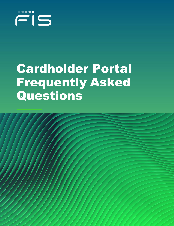

# Cardholder Portal Frequently Asked Questions

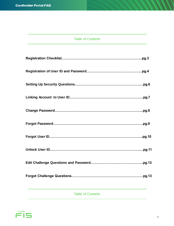#### *Table of Contents*

*Table of Contents* 

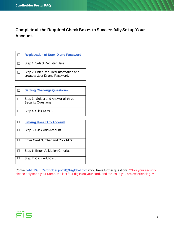<span id="page-2-0"></span>**Complete all the Required Check Boxes to Successfully Set up Your Account.**

| <b>Registration of User ID and Password</b>                              |
|--------------------------------------------------------------------------|
| Step 1: Select Register Here.                                            |
| Step 2: Enter Required Information and<br>create a User ID and Password. |

| <b>Setting Challenge Questions</b>                         |
|------------------------------------------------------------|
| Step 3: Select and Answer all three<br>Security Questions. |
| Step 4: Click DONE.                                        |

| <b>Linking User ID to Account</b>  |
|------------------------------------|
| Step 5: Click Add Account.         |
| Enter Card Number and Click NEXT.  |
| Step 6: Enter Validation Criteria. |
| Step 7: Click Add Card.            |

Contac[t ebtEDGE.Cardholder.portal@fisglobal.com](mailto:ebtEDGE.Cardholder.portal@fisglobal.com) if you have further questions. \*\* For your security please only send your Name, the last four digits on your card, and the issue you are experiencing. \*\*

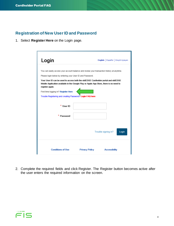## <span id="page-3-0"></span>**Registration of New User ID and Password**

1. Select **Register Here** on the Login page.

| Login                                                                                                                                                                                                                                                                                                                                                                                                                                                           |                       | English   Español   Kreyòl Ayisyen |
|-----------------------------------------------------------------------------------------------------------------------------------------------------------------------------------------------------------------------------------------------------------------------------------------------------------------------------------------------------------------------------------------------------------------------------------------------------------------|-----------------------|------------------------------------|
| You can easily access your account balance and review your transaction history at anytime.<br>Please login below by entering your User ID and Password.<br>Your User ID can be used to access both the ebtEDGE Cardholder portal and ebtEDGE<br>Mobile Application available in the Google Play or Apple App Store, there is no need to<br>register again.<br>First time logging in? Register Here<br>Trouble Registering and creating Password? Login FAQ here |                       |                                    |
| * User ID                                                                                                                                                                                                                                                                                                                                                                                                                                                       |                       |                                    |
| Password                                                                                                                                                                                                                                                                                                                                                                                                                                                        |                       |                                    |
|                                                                                                                                                                                                                                                                                                                                                                                                                                                                 |                       | Trouble signing in?<br>Login       |
| <b>Conditions of Use</b>                                                                                                                                                                                                                                                                                                                                                                                                                                        | <b>Privacy Policy</b> | <b>Accessibility</b>               |

2. Complete the required fields and click Register. The Register button becomes active after the user enters the required information on the screen.

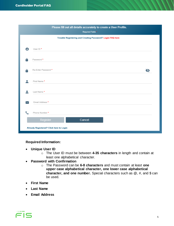|             | Please fill out all details accurately to create a User Profile.<br>Required Fields * |   |
|-------------|---------------------------------------------------------------------------------------|---|
|             | Trouble Registering and Creating Password? Login FAQ here                             |   |
| Θ           | User ID *                                                                             |   |
| Α           | Password *                                                                            |   |
| Α           | Re-Enter Password *                                                                   | Ø |
|             | First Name *                                                                          |   |
|             | Last Name *                                                                           |   |
| $\check{ }$ | Email Address *                                                                       |   |
|             | Phone Number*                                                                         |   |
|             | Cancel<br>Register                                                                    |   |
|             | Already Registered? Click here to Login                                               |   |

#### **Required Information:**

- **Unique User ID**
	- o The User ID must be between **4-35 characters** in length and contain at least one alphabetical character.
- **Password with Confirmation**
	- o The Password can be **6-8 characters** and must contain at least **one upper case alphabetical character, one lower case alphabetical character, and one number.** Special characters such as @, #, and \$ can be used.
- **First Name**
- **Last Name**
- **Email Address**

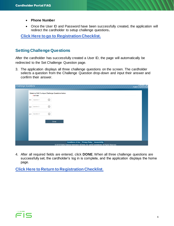- **Phone Number**
- Once the User ID and Password have been successfully created, the application will redirect the cardholder to setup challenge questions**.**

**[Click Here to go to Registration Checklist.](#page-2-0)**

#### <span id="page-5-0"></span>**Setting Challenge Questions**

After the cardholder has successfully created a User ID, the page will automatically be redirected to the Set Challenge Question page.

3. The application displays all three challenge questions on the screen. The cardholder selects a question from the Challenge Question drop-down and input their answer and confirm their answer.

| <b>Challenge Questions</b> | <b>Unoose Lan</b><br>English   Español   kreyòl                                                |  |
|----------------------------|------------------------------------------------------------------------------------------------|--|
|                            | Select or Edit 3 unique Challenge Questions below.<br>$0$ of $3$ set                           |  |
|                            | $\odot$<br>Q1.<br>Question 1                                                                   |  |
|                            | $\odot$<br>Question 2<br>Q2.                                                                   |  |
|                            | $\odot$<br>Question 3<br>$Q3$ .                                                                |  |
|                            | Done                                                                                           |  |
|                            |                                                                                                |  |
|                            |                                                                                                |  |
|                            | <b>Conditions of Use Privacy Policy Accessibility</b>                                          |  |
|                            | © 2019 Fidelity National Information Services, Inc. and its subsidiaries. All Rights Reserved. |  |

4. After all required fields are entered, click **DONE**. When all three challenge questions are successfully set, the cardholder's log in is complete, and the application displays the home page.

**Click Here to Return [to Registration Checklist.](#page-2-0)** 

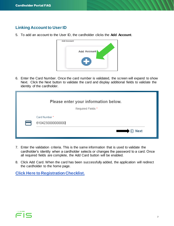## <span id="page-6-0"></span>**Linking Account to User ID**

5. To add an account to the User ID, the cardholder clicks the **Add Account**.



6. Enter the Card Number. Once the card number is validated, the screen will expand to show Next. Click the Next button to validate the card and display additional fields to validate the identity of the cardholder.

| Please enter your information below. |
|--------------------------------------|
| Required Fields*                     |
| Card Number*<br>6104230000000000     |
| $\Theta$ Next<br><b>Read</b>         |

- 7. Enter the validation criteria. This is the same information that is used to validate the cardholder's identity when a cardholder selects or changes the password to a card. Once all required fields are complete, the Add Card button will be enabled.
- 8. Click Add Card. When the card has been successfully added, the application will redirect the cardholder to the home page.

**[Click Here to Registration Checklist.](#page-2-0)** 

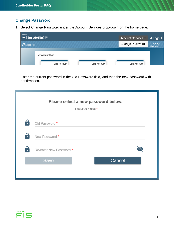## **Change Password**

1. Select Change Password under the Account Services drop-down on the home page.



2. Enter the current password in the Old Password field, and then the new password with confirmation.

|    | Please select a new password below.<br>Required Fields * |        |  |
|----|----------------------------------------------------------|--------|--|
| 9  | Old Password *                                           |        |  |
| ∶: | New Password *                                           |        |  |
| 8  | Re-enter New Password *                                  |        |  |
|    | Save                                                     | Cancel |  |

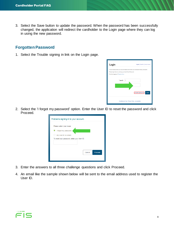3. Select the Save button to update the password. When the password has been successfully changed, the application will redirect the cardholder to the Login page where they can log in using the new password.

#### **Forgotten Password**

1. Select the Trouble signing in link on the Login page.

| Login                                                                                             | English   Español   Kreyöl Ayisyen                                                         |
|---------------------------------------------------------------------------------------------------|--------------------------------------------------------------------------------------------|
| Please login below by entering your User ID and Password.<br>First time logging in? Register Here | You can easily access your account balance and review your transaction history at anytime. |
| *User ID                                                                                          |                                                                                            |
|                                                                                                   | Trouble signing in?<br>Login                                                               |
|                                                                                                   | Conditions of Use Privacy Policy Accessibility                                             |

2. Select the 'I forgot my password' option. Enter the User ID to reset the password and click Proceed.

| Problems signing in to your account.                                 |
|----------------------------------------------------------------------|
| Please select your issue:<br>I forgot my password.                   |
| My User ID is locked.<br>To reset your password, enter your User ID. |
| Cancel<br>Proceed                                                    |
|                                                                      |

- 3. Enter the answers to all three challenge questions and click Proceed.
- 4. An email like the sample shown below will be sent to the email address used to register the User ID.

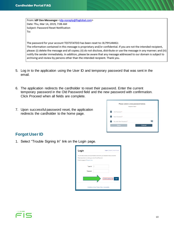| From: IdP Dev Messenger <idp-noreply@fisglobal.com></idp-noreply@fisglobal.com> |
|---------------------------------------------------------------------------------|
| Date: Thu, Mar 14, 2019, 7:06 AM                                                |
| Subject: Password Reset Notification                                            |
| To:                                                                             |
|                                                                                 |

The password for your account TESTSTATEID has been reset to: 0L79YU4MG1 The information contained in this message is proprietary and/or confidential. If you are not the intended recipient, please: (i) delete the message and all copies; (ii) do not disclose, distribute or use the message in any manner; and (iii) notify the sender immediately. In addition, please be aware that any message addressed to our domain is subject to archiving and review by persons other than the intended recipient. Thank you.

- 5. Log in to the application using the User ID and temporary password that was sent in the email.
- 6. The application redirects the cardholder to reset their password. Enter the current temporary password in the Old Password field and the new password with confirmation. Click Proceed when all fields are complete.
- 7. Upon successful password reset, the application redirects the cardholder to the home page.



## **Forgot User ID**

1. Select "Trouble Signing In" link on the Login page.

| Login                                                                                                                                                                                           | English   Español   Kreyöl Ayisyen |  |  |  |
|-------------------------------------------------------------------------------------------------------------------------------------------------------------------------------------------------|------------------------------------|--|--|--|
| You can easily access your account balance and review your transaction history at anytime.<br>Please login below by entering your User ID and Password.<br>First time logging in? Register Here |                                    |  |  |  |
| *User ID                                                                                                                                                                                        |                                    |  |  |  |
| * Password                                                                                                                                                                                      |                                    |  |  |  |
|                                                                                                                                                                                                 | Trouble signing in?<br>Login       |  |  |  |
| Conditions of Use Privacy Policy Accessibility                                                                                                                                                  |                                    |  |  |  |

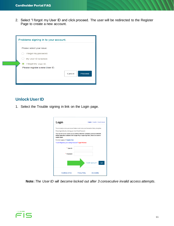2. Select "I forgot my User ID and click proceed. The user will be redirected to the Register Page to create a new account.

| Problems signing in to your account. |                   |
|--------------------------------------|-------------------|
| Please select your issue:            |                   |
| I forgot my password.                |                   |
| My User ID is locked.                |                   |
| I forgot my User ID.                 |                   |
| Please register a new User ID.       |                   |
|                                      | Proceed<br>Cancel |
|                                      |                   |

## **Unlock User ID**

1. Select the Trouble signing in link on the Login page.

| Login                                                     | English   Español   Kreyòl Ayisyen                                                                                                                                           |
|-----------------------------------------------------------|------------------------------------------------------------------------------------------------------------------------------------------------------------------------------|
|                                                           | You can easily access your account balance and review your transaction history at anytime.                                                                                   |
| Please login below by entering your User ID and Password. |                                                                                                                                                                              |
| register again.                                           | Your User ID can be used to access both the ebtEDGE Cardholder portal and ebtEDGE<br>Mobile Application available in the Google Play or Apple App Store, there is no need to |
| First time logging in? Register Here                      |                                                                                                                                                                              |
| Trouble Registering and creating Password? Login FAQ here |                                                                                                                                                                              |
| * User ID                                                 |                                                                                                                                                                              |
| Password                                                  |                                                                                                                                                                              |
|                                                           | Login<br>Trouble signing in?                                                                                                                                                 |
| <b>Conditions of Use</b>                                  | <b>Accessibility</b><br><b>Privacy Policy</b>                                                                                                                                |

**Note:** *The User ID will become locked out after 3 consecutive invalid access attempts.* 

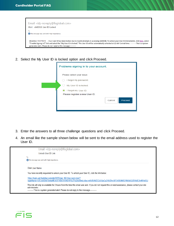| Email <idp-noreply@fisglobal.com><br/>Alert - ebtEDGE User ID Locked</idp-noreply@fisglobal.com>                                                                                                                                                                                                                                                                                             |  |
|----------------------------------------------------------------------------------------------------------------------------------------------------------------------------------------------------------------------------------------------------------------------------------------------------------------------------------------------------------------------------------------------|--|
| To<br>This message was sent with High importance.                                                                                                                                                                                                                                                                                                                                            |  |
| Attention User Name , Your User ID has been locked due to invalid attempts in accessing ebtEDGE. To unlock your User ID immediately, click here, select<br>"Trouble Signing In?" link and select the "My User ID is locked." The User ID will be automatically unlocked at 12 AM Central time. ----------This is a system<br>generated alert. Please do not reply to this message----------- |  |

2. Select the My User ID is locked option and click Proceed.

| Problems signing in to your account.                                        |  |  |  |  |  |  |
|-----------------------------------------------------------------------------|--|--|--|--|--|--|
| Please select your issue:<br>I forgot my password.<br>My User ID is locked. |  |  |  |  |  |  |
| I forgot my User ID.<br>Please register a new User ID.<br>Proceed<br>Cancel |  |  |  |  |  |  |

- 3. Enter the answers to all three challenge questions and click Proceed.
- 4. An email like the sample shown below will be sent to the email address used to register the User ID.